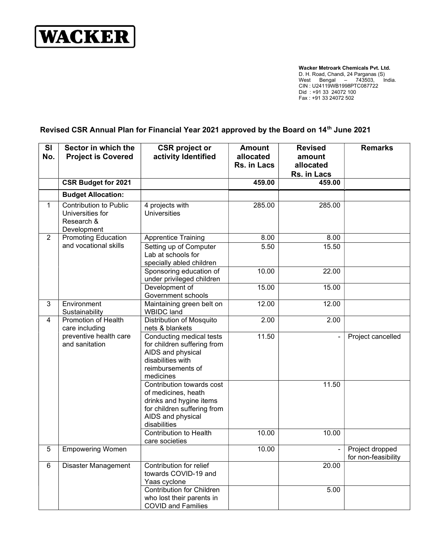

Wacker Metroark Chemicals Pvt. Ltd. D. H. Road, Chandi, 24 Parganas (S) West Bengal – 743503, India. CIN : U24119WB1998PTC087722 Did : +91 33 24072 100 Fax : +91 33 24072 502

## Revised CSR Annual Plan for Financial Year 2021 approved by the Board on 14<sup>th</sup> June 2021

| SI<br>No.      | Sector in which the<br><b>Project is Covered</b>                                  | <b>CSR</b> project or<br>activity Identified                                                                                                    | <b>Amount</b><br>allocated<br>Rs. in Lacs | <b>Revised</b><br>amount<br>allocated<br>Rs. in Lacs | <b>Remarks</b>                         |
|----------------|-----------------------------------------------------------------------------------|-------------------------------------------------------------------------------------------------------------------------------------------------|-------------------------------------------|------------------------------------------------------|----------------------------------------|
|                | <b>CSR Budget for 2021</b>                                                        |                                                                                                                                                 | 459.00                                    | 459.00                                               |                                        |
|                | <b>Budget Allocation:</b>                                                         |                                                                                                                                                 |                                           |                                                      |                                        |
| $\mathbf 1$    | <b>Contribution to Public</b><br>Universities for<br>Research &<br>Development    | 4 projects with<br><b>Universities</b>                                                                                                          | 285.00                                    | 285.00                                               |                                        |
| $\overline{2}$ | <b>Promoting Education</b>                                                        | <b>Apprentice Training</b>                                                                                                                      | 8.00                                      | 8.00                                                 |                                        |
|                | and vocational skills                                                             | Setting up of Computer<br>Lab at schools for<br>specially abled children                                                                        | 5.50                                      | 15.50                                                |                                        |
|                |                                                                                   | Sponsoring education of<br>under privileged children                                                                                            | 10.00                                     | 22.00                                                |                                        |
|                |                                                                                   | Development of<br>Government schools                                                                                                            | 15.00                                     | 15.00                                                |                                        |
| 3              | Environment<br>Sustainability                                                     | Maintaining green belt on<br><b>WBIDC</b> land                                                                                                  | 12.00                                     | 12.00                                                |                                        |
| $\overline{4}$ | Promotion of Health<br>care including<br>preventive health care<br>and sanitation | <b>Distribution of Mosquito</b><br>nets & blankets                                                                                              | 2.00                                      | 2.00                                                 |                                        |
|                |                                                                                   | Conducting medical tests<br>for children suffering from<br>AIDS and physical<br>disabilities with<br>reimbursements of<br>medicines             | 11.50                                     |                                                      | Project cancelled                      |
|                |                                                                                   | Contribution towards cost<br>of medicines, heath<br>drinks and hygine items<br>for children suffering from<br>AIDS and physical<br>disabilities |                                           | 11.50                                                |                                        |
|                |                                                                                   | <b>Contribution to Health</b><br>care societies                                                                                                 | 10.00                                     | 10.00                                                |                                        |
| 5              | <b>Empowering Women</b>                                                           |                                                                                                                                                 | 10.00                                     |                                                      | Project dropped<br>for non-feasibility |
| 6              | <b>Disaster Management</b>                                                        | Contribution for relief<br>towards COVID-19 and<br>Yaas cyclone                                                                                 |                                           | 20.00                                                |                                        |
|                |                                                                                   | <b>Contribution for Children</b><br>who lost their parents in<br><b>COVID and Families</b>                                                      |                                           | 5.00                                                 |                                        |